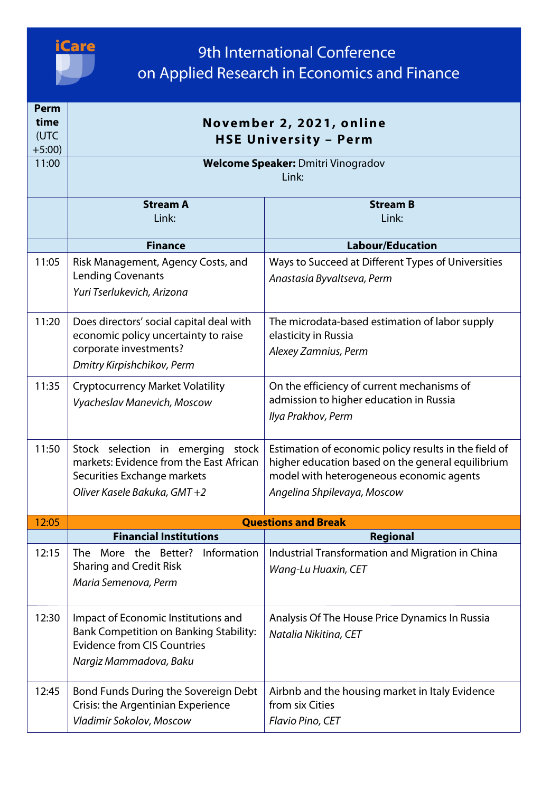

| Perm<br>time<br>(UTC<br>$+5:00)$ | November 2, 2021, online<br><b>HSE University - Perm</b>                                                                                             |                                                                                                                                                                                       |
|----------------------------------|------------------------------------------------------------------------------------------------------------------------------------------------------|---------------------------------------------------------------------------------------------------------------------------------------------------------------------------------------|
| 11:00                            | <b>Welcome Speaker: Dmitri Vinogradov</b><br>Link:                                                                                                   |                                                                                                                                                                                       |
|                                  | <b>Stream A</b><br>Link:                                                                                                                             | <b>Stream B</b><br>Link:                                                                                                                                                              |
|                                  | <b>Finance</b>                                                                                                                                       | <b>Labour/Education</b>                                                                                                                                                               |
| 11:05                            | Risk Management, Agency Costs, and<br><b>Lending Covenants</b><br>Yuri Tserlukevich, Arizona                                                         | Ways to Succeed at Different Types of Universities<br>Anastasia Byvaltseva, Perm                                                                                                      |
| 11:20                            | Does directors' social capital deal with<br>economic policy uncertainty to raise<br>corporate investments?<br>Dmitry Kirpishchikov, Perm             | The microdata-based estimation of labor supply<br>elasticity in Russia<br>Alexey Zamnius, Perm                                                                                        |
| 11:35                            | <b>Cryptocurrency Market Volatility</b><br>Vyacheslav Manevich, Moscow                                                                               | On the efficiency of current mechanisms of<br>admission to higher education in Russia<br>Ilya Prakhov, Perm                                                                           |
| 11:50                            | Stock selection in emerging stock<br>markets: Evidence from the East African<br>Securities Exchange markets<br>Oliver Kasele Bakuka, GMT +2          | Estimation of economic policy results in the field of<br>higher education based on the general equilibrium<br>model with heterogeneous economic agents<br>Angelina Shpilevaya, Moscow |
| 12:05                            | <b>Questions and Break</b>                                                                                                                           |                                                                                                                                                                                       |
|                                  | <b>Financial Institutions</b>                                                                                                                        | <b>Regional</b>                                                                                                                                                                       |
| 12:15                            | More the Better?<br>Information<br>The<br><b>Sharing and Credit Risk</b><br>Maria Semenova, Perm                                                     | Industrial Transformation and Migration in China<br>Wang-Lu Huaxin, CET                                                                                                               |
| 12:30                            | Impact of Economic Institutions and<br><b>Bank Competition on Banking Stability:</b><br><b>Evidence from CIS Countries</b><br>Nargiz Mammadova, Baku | Analysis Of The House Price Dynamics In Russia<br>Natalia Nikitina, CET                                                                                                               |
| 12:45                            | Bond Funds During the Sovereign Debt<br>Crisis: the Argentinian Experience<br>Vladimir Sokolov, Moscow                                               | Airbnb and the housing market in Italy Evidence<br>from six Cities<br>Flavio Pino, CET                                                                                                |